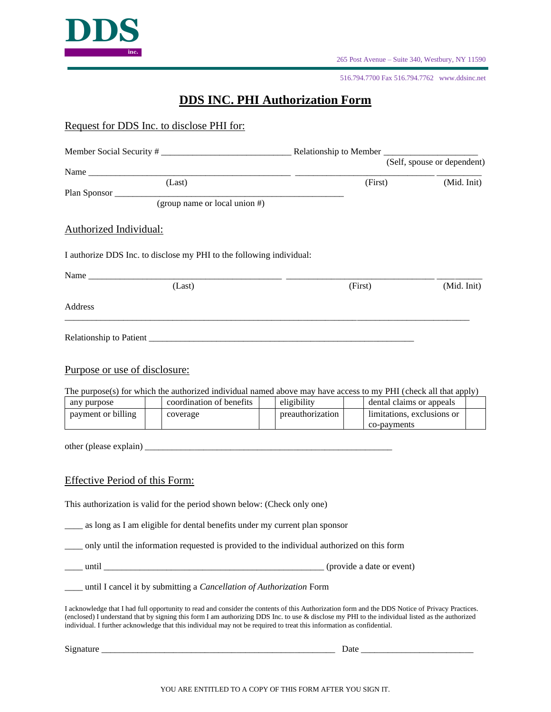

265 Post Avenue – Suite 340, Westbury, NY 11590

516.794.7700 Fax 516.794.7762 www.ddsinc.net

## **DDS INC. PHI Authorization Form**

Request for DDS Inc. to disclose PHI for:

|                                |                                                                                                                                                                                                                                                                          |                                 |             | (Self, spouse or dependent)                            |  |
|--------------------------------|--------------------------------------------------------------------------------------------------------------------------------------------------------------------------------------------------------------------------------------------------------------------------|---------------------------------|-------------|--------------------------------------------------------|--|
|                                |                                                                                                                                                                                                                                                                          |                                 |             |                                                        |  |
|                                | (Last)                                                                                                                                                                                                                                                                   |                                 | (First)     | (Mid. Init)                                            |  |
|                                | Plan Sponsor $\frac{1}{\text{(group name or local union \#)}}$                                                                                                                                                                                                           |                                 |             |                                                        |  |
|                                |                                                                                                                                                                                                                                                                          |                                 |             |                                                        |  |
| <b>Authorized Individual:</b>  |                                                                                                                                                                                                                                                                          |                                 |             |                                                        |  |
|                                | I authorize DDS Inc. to disclose my PHI to the following individual:                                                                                                                                                                                                     |                                 |             |                                                        |  |
|                                |                                                                                                                                                                                                                                                                          |                                 |             |                                                        |  |
|                                | (Last)                                                                                                                                                                                                                                                                   |                                 | (First)     | (Mid. Init)                                            |  |
| Address                        |                                                                                                                                                                                                                                                                          |                                 |             |                                                        |  |
|                                |                                                                                                                                                                                                                                                                          |                                 |             |                                                        |  |
|                                |                                                                                                                                                                                                                                                                          |                                 |             |                                                        |  |
| Purpose or use of disclosure:  |                                                                                                                                                                                                                                                                          |                                 |             |                                                        |  |
|                                |                                                                                                                                                                                                                                                                          |                                 |             |                                                        |  |
|                                | The purpose(s) for which the authorized individual named above may have access to my PHI (check all that apply)                                                                                                                                                          |                                 |             |                                                        |  |
| any purpose                    | coordination of benefits                                                                                                                                                                                                                                                 | eligibility<br>preauthorization |             | dental claims or appeals<br>limitations, exclusions or |  |
| payment or billing             | coverage                                                                                                                                                                                                                                                                 |                                 | co-payments |                                                        |  |
|                                |                                                                                                                                                                                                                                                                          |                                 |             |                                                        |  |
|                                |                                                                                                                                                                                                                                                                          |                                 |             |                                                        |  |
|                                |                                                                                                                                                                                                                                                                          |                                 |             |                                                        |  |
| Effective Period of this Form: |                                                                                                                                                                                                                                                                          |                                 |             |                                                        |  |
|                                | This authorization is valid for the period shown below: (Check only one)                                                                                                                                                                                                 |                                 |             |                                                        |  |
|                                | as long as I am eligible for dental benefits under my current plan sponsor                                                                                                                                                                                               |                                 |             |                                                        |  |
|                                | only until the information requested is provided to the individual authorized on this form                                                                                                                                                                               |                                 |             |                                                        |  |
|                                |                                                                                                                                                                                                                                                                          |                                 |             |                                                        |  |
|                                | ___ until I cancel it by submitting a <i>Cancellation of Authorization</i> Form                                                                                                                                                                                          |                                 |             |                                                        |  |
|                                | I acknowledge that I had full opportunity to read and consider the contents of this Authorization form and the DDS Notice of Privacy Practices.                                                                                                                          |                                 |             |                                                        |  |
|                                | (enclosed) I understand that by signing this form I am authorizing DDS Inc. to use & disclose my PHI to the individual listed as the authorized<br>individual. I further acknowledge that this individual may not be required to treat this information as confidential. |                                 |             |                                                        |  |
|                                |                                                                                                                                                                                                                                                                          |                                 |             |                                                        |  |